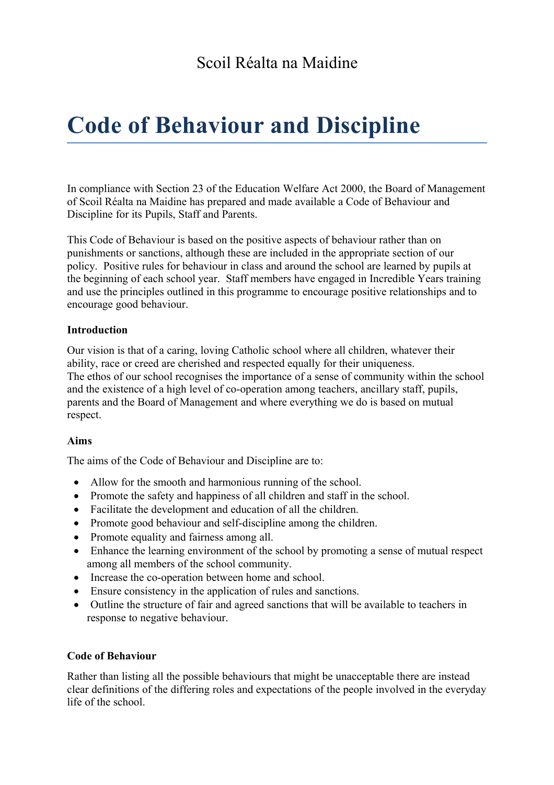# **Code of Behaviour and Discipline**

In compliance with Section 23 of the Education Welfare Act 2000, the Board of Management of Scoil Réalta na Maidine has prepared and made available a Code of Behaviour and Discipline for its Pupils, Staff and Parents.

This Code of Behaviour is based on the positive aspects of behaviour rather than on punishments or sanctions, although these are included in the appropriate section of our policy. Positive rules for behaviour in class and around the school are learned by pupils at the beginning of each school year. Staff members have engaged in Incredible Years training and use the principles outlined in this programme to encourage positive relationships and to encourage good behaviour.

## **Introduction**

Our vision is that of a caring, loving Catholic school where all children, whatever their ability, race or creed are cherished and respected equally for their uniqueness. The ethos of our school recognises the importance of a sense of community within the school and the existence of a high level of co-operation among teachers, ancillary staff, pupils, parents and the Board of Management and where everything we do is based on mutual respect.

## **Aims**

The aims of the Code of Behaviour and Discipline are to:

- Allow for the smooth and harmonious running of the school.
- Promote the safety and happiness of all children and staff in the school.
- Facilitate the development and education of all the children.
- Promote good behaviour and self-discipline among the children.
- Promote equality and fairness among all.
- Enhance the learning environment of the school by promoting a sense of mutual respect among all members of the school community.
- Increase the co-operation between home and school.
- Ensure consistency in the application of rules and sanctions.
- Outline the structure of fair and agreed sanctions that will be available to teachers in response to negative behaviour.

## **Code of Behaviour**

Rather than listing all the possible behaviours that might be unacceptable there are instead clear definitions of the differing roles and expectations of the people involved in the everyday life of the school.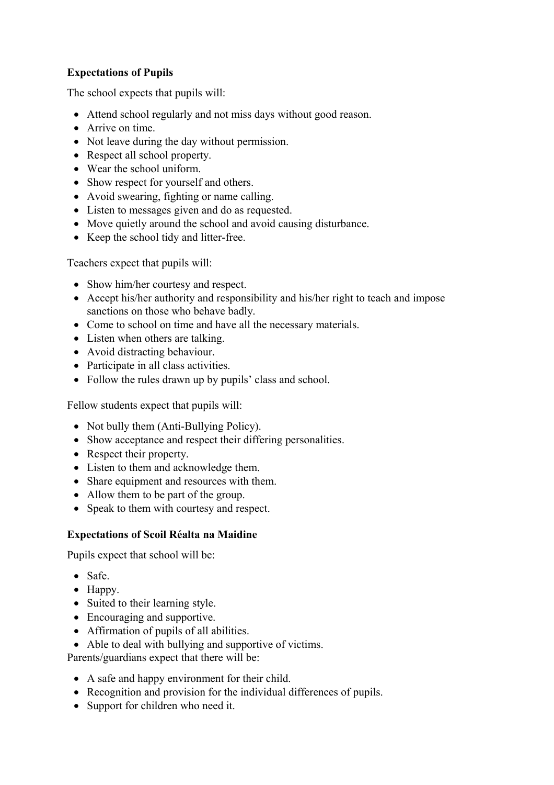## **Expectations of Pupils**

The school expects that pupils will:

- Attend school regularly and not miss days without good reason.
- Arrive on time.
- Not leave during the day without permission.
- Respect all school property.
- Wear the school uniform.
- Show respect for yourself and others.
- Avoid swearing, fighting or name calling.
- Listen to messages given and do as requested.
- Move quietly around the school and avoid causing disturbance.
- Keep the school tidy and litter-free.

Teachers expect that pupils will:

- Show him/her courtesy and respect.
- Accept his/her authority and responsibility and his/her right to teach and impose sanctions on those who behave badly.
- Come to school on time and have all the necessary materials.
- Listen when others are talking.
- Avoid distracting behaviour.
- Participate in all class activities.
- Follow the rules drawn up by pupils' class and school.

Fellow students expect that pupils will:

- Not bully them (Anti-Bullying Policy).
- Show acceptance and respect their differing personalities.
- Respect their property.
- Listen to them and acknowledge them.
- Share equipment and resources with them.
- Allow them to be part of the group.
- Speak to them with courtesy and respect.

## **Expectations of Scoil Réalta na Maidine**

Pupils expect that school will be:

- Safe.
- Happy.
- Suited to their learning style.
- Encouraging and supportive.
- Affirmation of pupils of all abilities.
- Able to deal with bullying and supportive of victims.

Parents/guardians expect that there will be:

- A safe and happy environment for their child.
- Recognition and provision for the individual differences of pupils.
- Support for children who need it.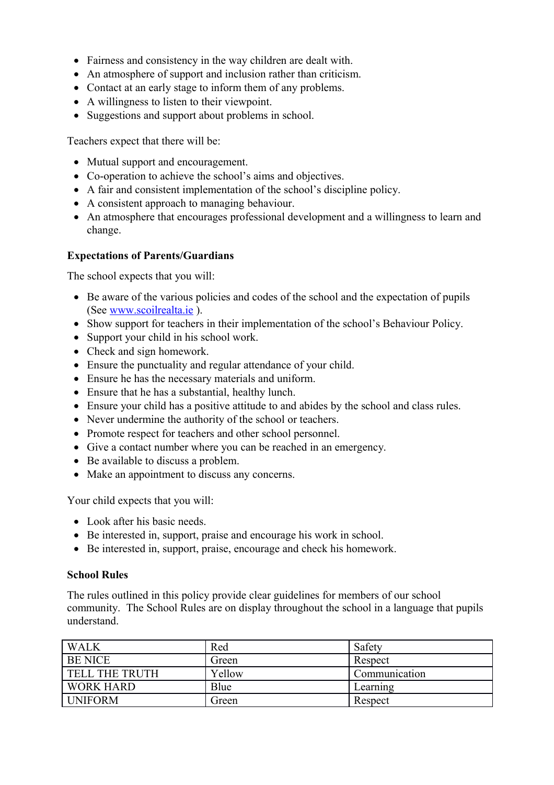- Fairness and consistency in the way children are dealt with.
- An atmosphere of support and inclusion rather than criticism.
- Contact at an early stage to inform them of any problems.
- A willingness to listen to their viewpoint.
- Suggestions and support about problems in school.

Teachers expect that there will be:

- Mutual support and encouragement.
- Co-operation to achieve the school's aims and objectives.
- A fair and consistent implementation of the school's discipline policy.
- A consistent approach to managing behaviour.
- An atmosphere that encourages professional development and a willingness to learn and change.

#### **Expectations of Parents/Guardians**

The school expects that you will:

- Be aware of the various policies and codes of the school and the expectation of pupils (See [www.scoilrealta.ie](http://www.scoilrealta.ie/) ).
- Show support for teachers in their implementation of the school's Behaviour Policy.
- Support your child in his school work.
- Check and sign homework.
- Ensure the punctuality and regular attendance of your child.
- Ensure he has the necessary materials and uniform.
- Ensure that he has a substantial, healthy lunch.
- Ensure your child has a positive attitude to and abides by the school and class rules.
- Never undermine the authority of the school or teachers.
- Promote respect for teachers and other school personnel.
- Give a contact number where you can be reached in an emergency.
- Be available to discuss a problem.
- Make an appointment to discuss any concerns.

Your child expects that you will:

- Look after his basic needs.
- Be interested in, support, praise and encourage his work in school.
- Be interested in, support, praise, encourage and check his homework.

#### **School Rules**

The rules outlined in this policy provide clear guidelines for members of our school community. The School Rules are on display throughout the school in a language that pupils understand.

| <b>WALK</b>           | Red    | Safety        |
|-----------------------|--------|---------------|
| <b>BE NICE</b>        | Green  | Respect       |
| <b>TELL THE TRUTH</b> | Yellow | Communication |
| <b>WORK HARD</b>      | Blue   | Learning      |
| <b>UNIFORM</b>        | Green  | Respect       |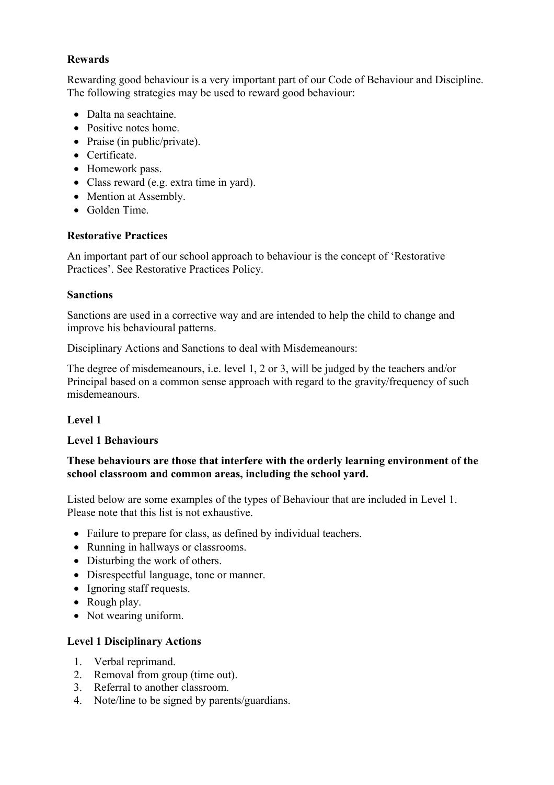## **Rewards**

Rewarding good behaviour is a very important part of our Code of Behaviour and Discipline. The following strategies may be used to reward good behaviour:

- Dalta na seachtaine.
- Positive notes home.
- Praise (in public/private).
- Certificate.
- Homework pass.
- Class reward (e.g. extra time in yard).
- Mention at Assembly.
- Golden Time.

## **Restorative Practices**

An important part of our school approach to behaviour is the concept of 'Restorative Practices'. See Restorative Practices Policy.

#### **Sanctions**

Sanctions are used in a corrective way and are intended to help the child to change and improve his behavioural patterns.

Disciplinary Actions and Sanctions to deal with Misdemeanours:

The degree of misdemeanours, i.e. level 1, 2 or 3, will be judged by the teachers and/or Principal based on a common sense approach with regard to the gravity/frequency of such misdemeanours.

## **Level 1**

## **Level 1 Behaviours**

## **These behaviours are those that interfere with the orderly learning environment of the school classroom and common areas, including the school yard.**

Listed below are some examples of the types of Behaviour that are included in Level 1. Please note that this list is not exhaustive.

- Failure to prepare for class, as defined by individual teachers.
- Running in hallways or classrooms.
- Disturbing the work of others.
- Disrespectful language, tone or manner.
- Ignoring staff requests.
- Rough play.
- Not wearing uniform.

## **Level 1 Disciplinary Actions**

- 1. Verbal reprimand.
- 2. Removal from group (time out).
- 3. Referral to another classroom.
- 4. Note/line to be signed by parents/guardians.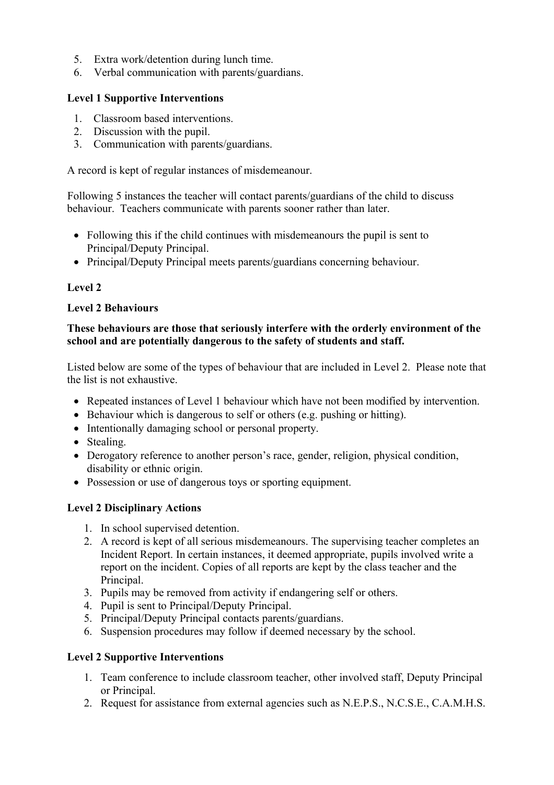- 5. Extra work/detention during lunch time.
- 6. Verbal communication with parents/guardians.

#### **Level 1 Supportive Interventions**

- 1. Classroom based interventions.
- 2. Discussion with the pupil.
- 3. Communication with parents/guardians.

A record is kept of regular instances of misdemeanour.

Following 5 instances the teacher will contact parents/guardians of the child to discuss behaviour. Teachers communicate with parents sooner rather than later.

- Following this if the child continues with misdemeanours the pupil is sent to Principal/Deputy Principal.
- Principal/Deputy Principal meets parents/guardians concerning behaviour.

## **Level 2**

#### **Level 2 Behaviours**

#### **These behaviours are those that seriously interfere with the orderly environment of the school and are potentially dangerous to the safety of students and staff.**

Listed below are some of the types of behaviour that are included in Level 2. Please note that the list is not exhaustive.

- Repeated instances of Level 1 behaviour which have not been modified by intervention.
- Behaviour which is dangerous to self or others (e.g. pushing or hitting).
- Intentionally damaging school or personal property.
- Stealing.
- Derogatory reference to another person's race, gender, religion, physical condition, disability or ethnic origin.
- Possession or use of dangerous toys or sporting equipment.

#### **Level 2 Disciplinary Actions**

- 1. In school supervised detention.
- 2. A record is kept of all serious misdemeanours. The supervising teacher completes an Incident Report. In certain instances, it deemed appropriate, pupils involved write a report on the incident. Copies of all reports are kept by the class teacher and the Principal.
- 3. Pupils may be removed from activity if endangering self or others.
- 4. Pupil is sent to Principal/Deputy Principal.
- 5. Principal/Deputy Principal contacts parents/guardians.
- 6. Suspension procedures may follow if deemed necessary by the school.

#### **Level 2 Supportive Interventions**

- 1. Team conference to include classroom teacher, other involved staff, Deputy Principal or Principal.
- 2. Request for assistance from external agencies such as N.E.P.S., N.C.S.E., C.A.M.H.S.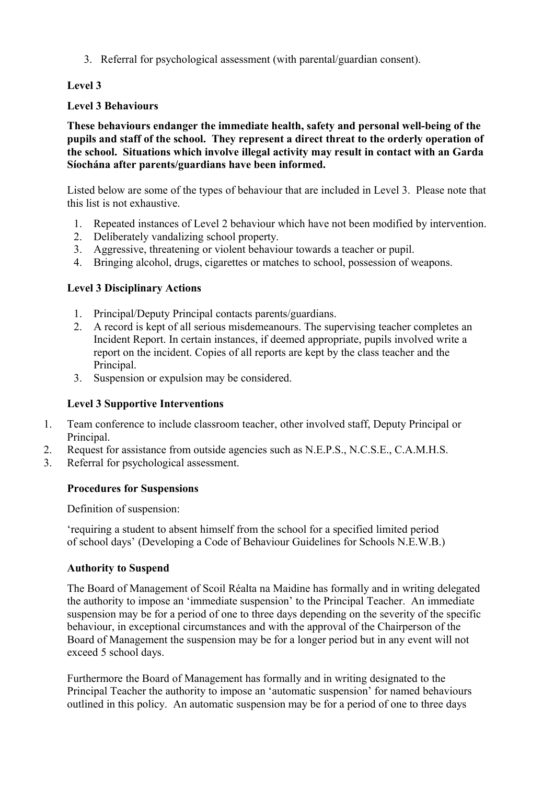3. Referral for psychological assessment (with parental/guardian consent).

## **Level 3**

## **Level 3 Behaviours**

**These behaviours endanger the immediate health, safety and personal well-being of the pupils and staff of the school. They represent a direct threat to the orderly operation of the school. Situations which involve illegal activity may result in contact with an Garda Síochána after parents/guardians have been informed.**

Listed below are some of the types of behaviour that are included in Level 3. Please note that this list is not exhaustive.

- 1. Repeated instances of Level 2 behaviour which have not been modified by intervention.
- 2. Deliberately vandalizing school property.
- 3. Aggressive, threatening or violent behaviour towards a teacher or pupil.
- 4. Bringing alcohol, drugs, cigarettes or matches to school, possession of weapons.

## **Level 3 Disciplinary Actions**

- 1. Principal/Deputy Principal contacts parents/guardians.
- 2. A record is kept of all serious misdemeanours. The supervising teacher completes an Incident Report. In certain instances, if deemed appropriate, pupils involved write a report on the incident. Copies of all reports are kept by the class teacher and the Principal.
- 3. Suspension or expulsion may be considered.

## **Level 3 Supportive Interventions**

- 1. Team conference to include classroom teacher, other involved staff, Deputy Principal or Principal.
- 2. Request for assistance from outside agencies such as N.E.P.S., N.C.S.E., C.A.M.H.S.
- 3. Referral for psychological assessment.

## **Procedures for Suspensions**

Definition of suspension:

'requiring a student to absent himself from the school for a specified limited period of school days' (Developing a Code of Behaviour Guidelines for Schools N.E.W.B.)

## **Authority to Suspend**

The Board of Management of Scoil Réalta na Maidine has formally and in writing delegated the authority to impose an 'immediate suspension' to the Principal Teacher. An immediate suspension may be for a period of one to three days depending on the severity of the specific behaviour, in exceptional circumstances and with the approval of the Chairperson of the Board of Management the suspension may be for a longer period but in any event will not exceed 5 school days.

Furthermore the Board of Management has formally and in writing designated to the Principal Teacher the authority to impose an 'automatic suspension' for named behaviours outlined in this policy. An automatic suspension may be for a period of one to three days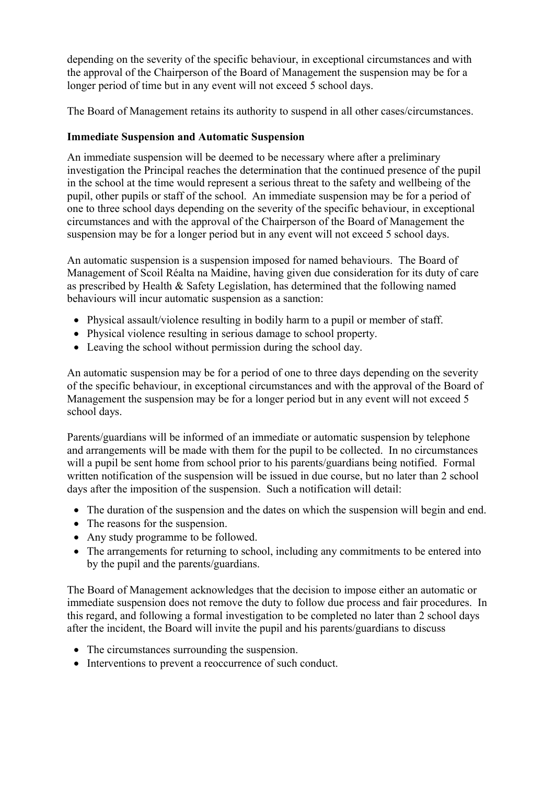depending on the severity of the specific behaviour, in exceptional circumstances and with the approval of the Chairperson of the Board of Management the suspension may be for a longer period of time but in any event will not exceed 5 school days.

The Board of Management retains its authority to suspend in all other cases/circumstances.

### **Immediate Suspension and Automatic Suspension**

An immediate suspension will be deemed to be necessary where after a preliminary investigation the Principal reaches the determination that the continued presence of the pupil in the school at the time would represent a serious threat to the safety and wellbeing of the pupil, other pupils or staff of the school. An immediate suspension may be for a period of one to three school days depending on the severity of the specific behaviour, in exceptional circumstances and with the approval of the Chairperson of the Board of Management the suspension may be for a longer period but in any event will not exceed 5 school days.

An automatic suspension is a suspension imposed for named behaviours. The Board of Management of Scoil Réalta na Maidine, having given due consideration for its duty of care as prescribed by Health & Safety Legislation, has determined that the following named behaviours will incur automatic suspension as a sanction:

- Physical assault/violence resulting in bodily harm to a pupil or member of staff.
- Physical violence resulting in serious damage to school property.
- Leaving the school without permission during the school day.

An automatic suspension may be for a period of one to three days depending on the severity of the specific behaviour, in exceptional circumstances and with the approval of the Board of Management the suspension may be for a longer period but in any event will not exceed 5 school days.

Parents/guardians will be informed of an immediate or automatic suspension by telephone and arrangements will be made with them for the pupil to be collected. In no circumstances will a pupil be sent home from school prior to his parents/guardians being notified. Formal written notification of the suspension will be issued in due course, but no later than 2 school days after the imposition of the suspension. Such a notification will detail:

- The duration of the suspension and the dates on which the suspension will begin and end.
- The reasons for the suspension.
- Any study programme to be followed.
- The arrangements for returning to school, including any commitments to be entered into by the pupil and the parents/guardians.

The Board of Management acknowledges that the decision to impose either an automatic or immediate suspension does not remove the duty to follow due process and fair procedures. In this regard, and following a formal investigation to be completed no later than 2 school days after the incident, the Board will invite the pupil and his parents/guardians to discuss

- The circumstances surrounding the suspension.
- Interventions to prevent a reoccurrence of such conduct.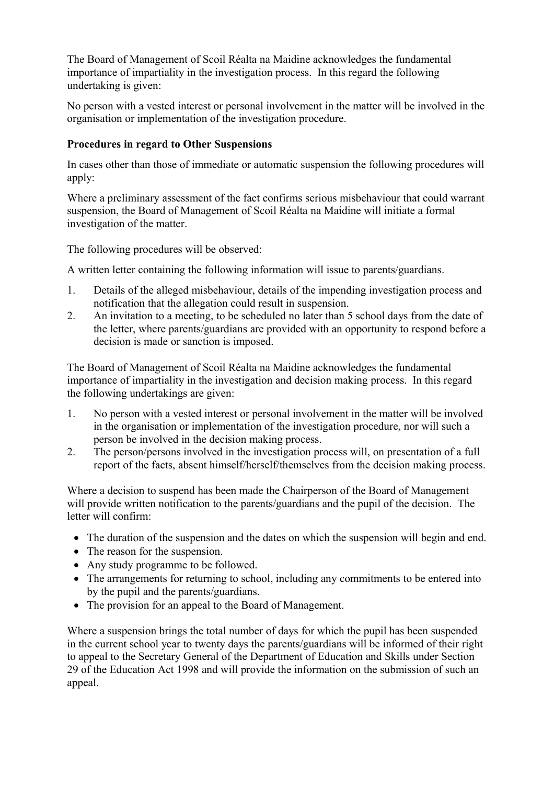The Board of Management of Scoil Réalta na Maidine acknowledges the fundamental importance of impartiality in the investigation process. In this regard the following undertaking is given:

No person with a vested interest or personal involvement in the matter will be involved in the organisation or implementation of the investigation procedure.

#### **Procedures in regard to Other Suspensions**

In cases other than those of immediate or automatic suspension the following procedures will apply:

Where a preliminary assessment of the fact confirms serious misbehaviour that could warrant suspension, the Board of Management of Scoil Réalta na Maidine will initiate a formal investigation of the matter.

The following procedures will be observed:

A written letter containing the following information will issue to parents/guardians.

- 1. Details of the alleged misbehaviour, details of the impending investigation process and notification that the allegation could result in suspension.
- 2. An invitation to a meeting, to be scheduled no later than 5 school days from the date of the letter, where parents/guardians are provided with an opportunity to respond before a decision is made or sanction is imposed.

The Board of Management of Scoil Réalta na Maidine acknowledges the fundamental importance of impartiality in the investigation and decision making process. In this regard the following undertakings are given:

- 1. No person with a vested interest or personal involvement in the matter will be involved in the organisation or implementation of the investigation procedure, nor will such a person be involved in the decision making process.
- 2. The person/persons involved in the investigation process will, on presentation of a full report of the facts, absent himself/herself/themselves from the decision making process.

Where a decision to suspend has been made the Chairperson of the Board of Management will provide written notification to the parents/guardians and the pupil of the decision. The letter will confirm:

- The duration of the suspension and the dates on which the suspension will begin and end.
- The reason for the suspension.
- Any study programme to be followed.
- The arrangements for returning to school, including any commitments to be entered into by the pupil and the parents/guardians.
- The provision for an appeal to the Board of Management.

Where a suspension brings the total number of days for which the pupil has been suspended in the current school year to twenty days the parents/guardians will be informed of their right to appeal to the Secretary General of the Department of Education and Skills under Section 29 of the Education Act 1998 and will provide the information on the submission of such an appeal.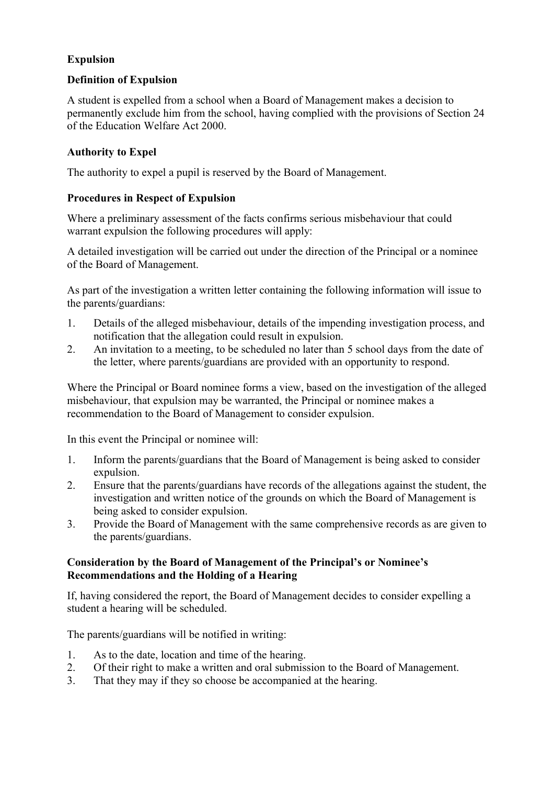## **Expulsion**

### **Definition of Expulsion**

A student is expelled from a school when a Board of Management makes a decision to permanently exclude him from the school, having complied with the provisions of Section 24 of the Education Welfare Act 2000.

## **Authority to Expel**

The authority to expel a pupil is reserved by the Board of Management.

## **Procedures in Respect of Expulsion**

Where a preliminary assessment of the facts confirms serious misbehaviour that could warrant expulsion the following procedures will apply:

A detailed investigation will be carried out under the direction of the Principal or a nominee of the Board of Management.

As part of the investigation a written letter containing the following information will issue to the parents/guardians:

- 1. Details of the alleged misbehaviour, details of the impending investigation process, and notification that the allegation could result in expulsion.
- 2. An invitation to a meeting, to be scheduled no later than 5 school days from the date of the letter, where parents/guardians are provided with an opportunity to respond.

Where the Principal or Board nominee forms a view, based on the investigation of the alleged misbehaviour, that expulsion may be warranted, the Principal or nominee makes a recommendation to the Board of Management to consider expulsion.

In this event the Principal or nominee will:

- 1. Inform the parents/guardians that the Board of Management is being asked to consider expulsion.
- 2. Ensure that the parents/guardians have records of the allegations against the student, the investigation and written notice of the grounds on which the Board of Management is being asked to consider expulsion.
- 3. Provide the Board of Management with the same comprehensive records as are given to the parents/guardians.

#### **Consideration by the Board of Management of the Principal's or Nominee's Recommendations and the Holding of a Hearing**

If, having considered the report, the Board of Management decides to consider expelling a student a hearing will be scheduled.

The parents/guardians will be notified in writing:

- 1. As to the date, location and time of the hearing.
- 2. Of their right to make a written and oral submission to the Board of Management.
- 3. That they may if they so choose be accompanied at the hearing.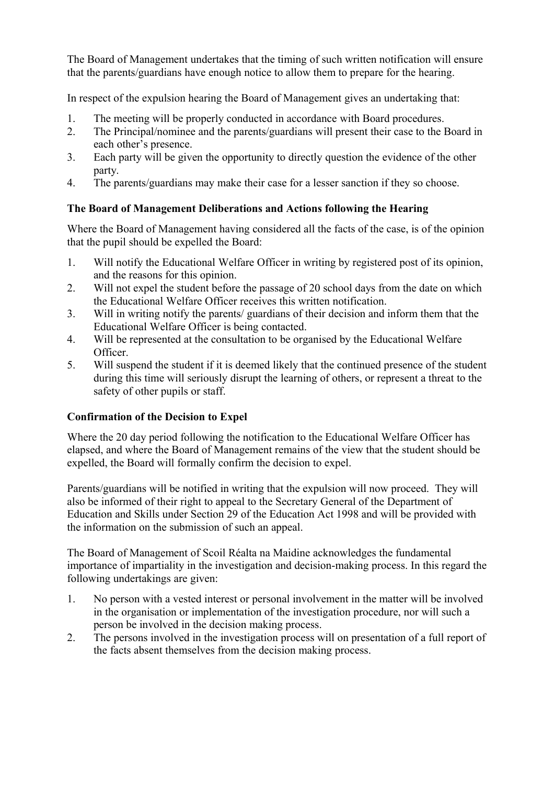The Board of Management undertakes that the timing of such written notification will ensure that the parents/guardians have enough notice to allow them to prepare for the hearing.

In respect of the expulsion hearing the Board of Management gives an undertaking that:

- 1. The meeting will be properly conducted in accordance with Board procedures.
- 2. The Principal/nominee and the parents/guardians will present their case to the Board in each other's presence.
- 3. Each party will be given the opportunity to directly question the evidence of the other party.
- 4. The parents/guardians may make their case for a lesser sanction if they so choose.

## **The Board of Management Deliberations and Actions following the Hearing**

Where the Board of Management having considered all the facts of the case, is of the opinion that the pupil should be expelled the Board:

- 1. Will notify the Educational Welfare Officer in writing by registered post of its opinion, and the reasons for this opinion.
- 2. Will not expel the student before the passage of 20 school days from the date on which the Educational Welfare Officer receives this written notification.
- 3. Will in writing notify the parents/ guardians of their decision and inform them that the Educational Welfare Officer is being contacted.
- 4. Will be represented at the consultation to be organised by the Educational Welfare Officer.
- 5. Will suspend the student if it is deemed likely that the continued presence of the student during this time will seriously disrupt the learning of others, or represent a threat to the safety of other pupils or staff.

## **Confirmation of the Decision to Expel**

Where the 20 day period following the notification to the Educational Welfare Officer has elapsed, and where the Board of Management remains of the view that the student should be expelled, the Board will formally confirm the decision to expel.

Parents/guardians will be notified in writing that the expulsion will now proceed. They will also be informed of their right to appeal to the Secretary General of the Department of Education and Skills under Section 29 of the Education Act 1998 and will be provided with the information on the submission of such an appeal.

The Board of Management of Scoil Réalta na Maidine acknowledges the fundamental importance of impartiality in the investigation and decision-making process. In this regard the following undertakings are given:

- 1. No person with a vested interest or personal involvement in the matter will be involved in the organisation or implementation of the investigation procedure, nor will such a person be involved in the decision making process.
- 2. The persons involved in the investigation process will on presentation of a full report of the facts absent themselves from the decision making process.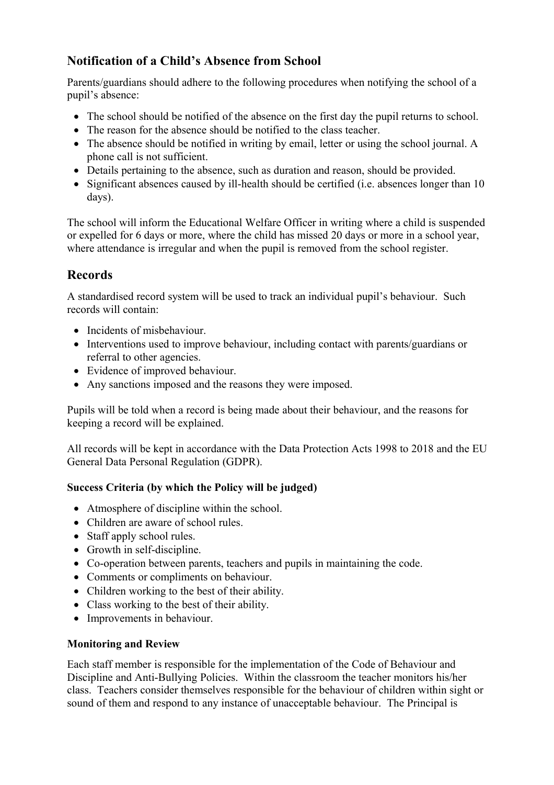# **Notification of a Child's Absence from School**

Parents/guardians should adhere to the following procedures when notifying the school of a pupil's absence:

- The school should be notified of the absence on the first day the pupil returns to school.
- The reason for the absence should be notified to the class teacher.
- The absence should be notified in writing by email, letter or using the school journal. A phone call is not sufficient.
- Details pertaining to the absence, such as duration and reason, should be provided.
- Significant absences caused by ill-health should be certified (i.e. absences longer than 10 days).

The school will inform the Educational Welfare Officer in writing where a child is suspended or expelled for 6 days or more, where the child has missed 20 days or more in a school year, where attendance is irregular and when the pupil is removed from the school register.

## **Records**

A standardised record system will be used to track an individual pupil's behaviour. Such records will contain:

- Incidents of misbehaviour.
- Interventions used to improve behaviour, including contact with parents/guardians or referral to other agencies.
- Evidence of improved behaviour.
- Any sanctions imposed and the reasons they were imposed.

Pupils will be told when a record is being made about their behaviour, and the reasons for keeping a record will be explained.

All records will be kept in accordance with the Data Protection Acts 1998 to 2018 and the EU General Data Personal Regulation (GDPR).

## **Success Criteria (by which the Policy will be judged)**

- Atmosphere of discipline within the school.
- Children are aware of school rules.
- Staff apply school rules.
- Growth in self-discipline.
- Co-operation between parents, teachers and pupils in maintaining the code.
- Comments or compliments on behaviour.
- Children working to the best of their ability.
- Class working to the best of their ability.
- Improvements in behaviour.

## **Monitoring and Review**

Each staff member is responsible for the implementation of the Code of Behaviour and Discipline and Anti-Bullying Policies. Within the classroom the teacher monitors his/her class. Teachers consider themselves responsible for the behaviour of children within sight or sound of them and respond to any instance of unacceptable behaviour. The Principal is